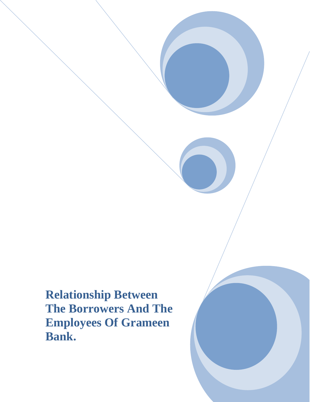**Relationship Between The Borrowers And The Employees Of Grameen Bank.**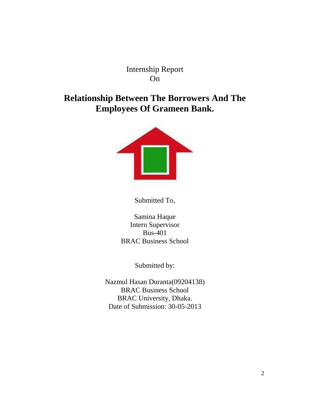Internship Report On

### **Relationship Between The Borrowers And The Employees Of Grameen Bank.**



Submitted To,

Samina Haque Intern Supervisor Bus-401 BRAC Business School

Submitted by:

Nazmul Hasan Duranta(09204138) BRAC Business School BRAC University, Dhaka. Date of Submission: 30-05-2013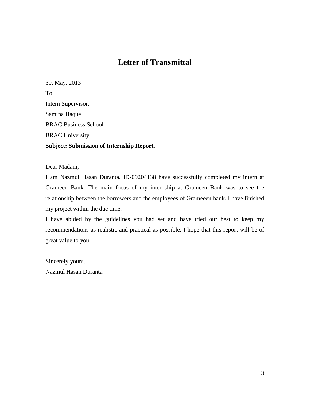#### **Letter of Transmittal**

30, May, 2013 To Intern Supervisor, Samina Haque BRAC Business School BRAC University **Subject: Submission of Internship Report.**

#### Dear Madam,

I am Nazmul Hasan Duranta, ID-09204138 have successfully completed my intern at Grameen Bank. The main focus of my internship at Grameen Bank was to see the relationship between the borrowers and the employees of Grameeen bank. I have finished my project within the due time.

I have abided by the guidelines you had set and have tried our best to keep my recommendations as realistic and practical as possible. I hope that this report will be of great value to you.

Sincerely yours, Nazmul Hasan Duranta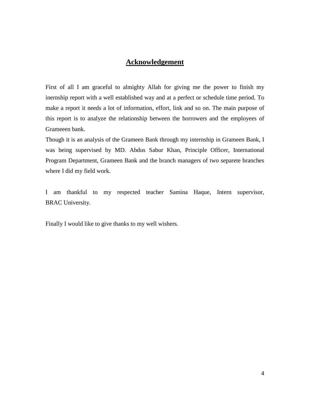#### **Acknowledgement**

First of all I am graceful to almighty Allah for giving me the power to finish my inernship report with a well established way and at a perfect or schedule time period. To make a report it needs a lot of information, effort, link and so on. The main purpose of this report is to analyze the relationship between the borrowers and the employees of Grameeen bank.

Though it is an analysis of the Grameen Bank through my internship in Grameen Bank, I was being supervised by MD. Abdus Sabur Khan, Principle Officer, International Program Department, Grameen Bank and the branch managers of two separete branches where I did my field work.

I am thankful to my respected teacher Samina Haque, Intern supervisor, BRAC University.

Finally I would like to give thanks to my well wishers.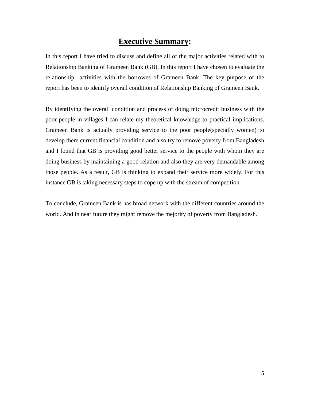#### **Executive Summary:**

In this report I have tried to discuss and define all of the major activities related with to Relationship Banking of Grameen Bank (GB). In this report I have chosen to evaluate the relationship activities with the borrowes of Grameen Bank. The key purpose of the report has been to identify overall condition of Relationship Banking of Grameen Bank.

By identifying the overall condition and process of doing microcredit business with the poor people in villages I can relate my theoretical knowledge to practical implications. Grameen Bank is actually providing service to the poor people(specially women) to develop there current financial condition and also try to remove poverty from Bangladesh and I found that GB is providing good better service to the people with whom they are doing business by maintaining a good relation and also they are very demandable among those people. As a result, GB is thinking to expand their service more widely. For this instance GB is taking necessary steps to cope up with the stream of competition.

To conclude, Grameen Bank is has broad network with the different countries around the world. And in near future they might remove the mejority of poverty from Bangladesh.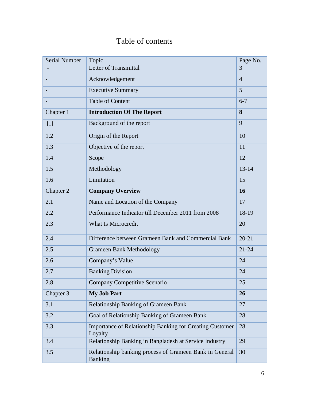## Table of contents

| <b>Serial Number</b> | Topic                                                                      | Page No.       |
|----------------------|----------------------------------------------------------------------------|----------------|
|                      | Letter of Transmittal                                                      | 3              |
|                      | Acknowledgement                                                            | $\overline{4}$ |
|                      | <b>Executive Summary</b>                                                   | 5              |
|                      | <b>Table of Content</b>                                                    | $6 - 7$        |
| Chapter 1            | <b>Introduction Of The Report</b>                                          | 8              |
| 1.1                  | Background of the report                                                   | 9              |
| 1.2                  | Origin of the Report                                                       | 10             |
| 1.3                  | Objective of the report                                                    | 11             |
| 1.4                  | Scope                                                                      | 12             |
| 1.5                  | Methodology                                                                | $13 - 14$      |
| 1.6                  | Limitation                                                                 | 15             |
| Chapter 2            | <b>Company Overview</b>                                                    | 16             |
| 2.1                  | Name and Location of the Company                                           | 17             |
| 2.2                  | Performance Indicator till December 2011 from 2008                         | 18-19          |
| 2.3                  | What Is Microcredit                                                        | 20             |
| 2.4                  | Difference between Grameen Bank and Commercial Bank                        | $20 - 21$      |
| 2.5                  | <b>Grameen Bank Methodology</b>                                            | $21 - 24$      |
| 2.6                  | Company's Value                                                            | 24             |
| 2.7                  | <b>Banking Division</b>                                                    | 24             |
| 2.8                  | Company Competitive Scenario                                               | 25             |
| Chapter 3            | <b>My Job Part</b>                                                         | 26             |
| 3.1                  | <b>Relationship Banking of Grameen Bank</b>                                | 27             |
| 3.2                  | Goal of Relationship Banking of Grameen Bank                               | 28             |
| 3.3                  | <b>Importance of Relationship Banking for Creating Customer</b><br>Loyalty | 28             |
| 3.4                  | Relationship Banking in Bangladesh at Service Industry                     | 29             |
| 3.5                  | Relationship banking process of Grameen Bank in General<br><b>Banking</b>  | 30             |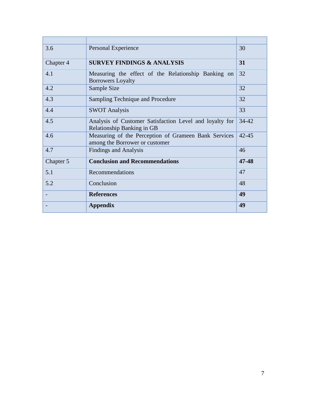| 3.6       | Personal Experience                                                                    | 30        |
|-----------|----------------------------------------------------------------------------------------|-----------|
| Chapter 4 | <b>SURVEY FINDINGS &amp; ANALYSIS</b>                                                  | 31        |
| 4.1       | Measuring the effect of the Relationship Banking on<br><b>Borrowers Loyalty</b>        | 32        |
| 4.2       | Sample Size                                                                            | 32        |
| 4.3       | Sampling Technique and Procedure                                                       | 32        |
| 4.4       | <b>SWOT Analysis</b>                                                                   | 33        |
| 4.5       | Analysis of Customer Satisfaction Level and loyalty for<br>Relationship Banking in GB  | $34 - 42$ |
| 4.6       | Measuring of the Perception of Grameen Bank Services<br>among the Borrower or customer | $42 - 45$ |
| 4.7       | <b>Findings and Analysis</b>                                                           | 46        |
| Chapter 5 | <b>Conclusion and Recommendations</b>                                                  | 47-48     |
| 5.1       | Recommendations                                                                        | 47        |
| 5.2       | Conclusion                                                                             | 48        |
|           | <b>References</b>                                                                      | 49        |
|           | <b>Appendix</b>                                                                        | 49        |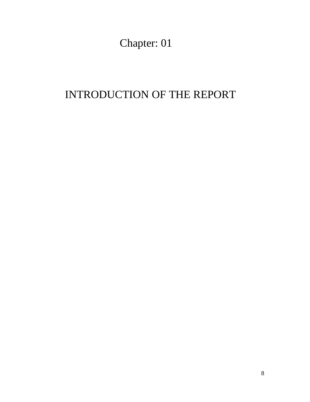Chapter: 01

## INTRODUCTION OF THE REPORT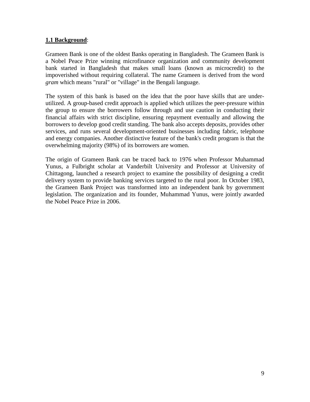#### **1.1 Background** :

Grameen Bank is one of the oldest Banks operating in Bangladesh. The Grameen Bank is a Nobel Peace Prize winning [microfinance](http://en.wikipedia.org/wiki/Microfinance) organization and [community development](http://en.wikipedia.org/wiki/Community_development_bank)  [bank](http://en.wikipedia.org/wiki/Community_development_bank) started in [Bangladesh](http://en.wikipedia.org/wiki/Bangladesh) that makes small [loans](http://en.wikipedia.org/wiki/Loans) (known as [microcredit\)](http://en.wikipedia.org/wiki/Microcredit) to the impoverished without requiring [collateral.](http://en.wikipedia.org/wiki/Collateral_%28finance%29) The name Grameen is derived from the word *gram* which means "rural" or "village" in the [Bengali language.](http://en.wikipedia.org/wiki/Bengali_language)

The system of this bank is based on the idea that the poor have skills that are underutilized. A group-based credit approach is applied which utilizes the [peer-pressure](http://en.wikipedia.org/wiki/Peer-pressure) within the group to ensure the borrowers follow through and use caution in conducting their financial affairs with strict discipline, ensuring repayment eventually and allowing the borrowers to develop good credit standing. The bank also accepts deposits, provides other services, and runs several development-oriented businesses including fabric, telephone and energy companies. Another distinctive feature of the bank's credit program is that the overwhelming majority (98%) of its borrowers are women.

The origin of Grameen Bank can be traced back to 1976 when Professor [Muhammad](http://en.wikipedia.org/wiki/Muhammad_Yunus)  [Yunus,](http://en.wikipedia.org/wiki/Muhammad_Yunus) a [Fulbright scholar](http://en.wikipedia.org/wiki/Fulbright_scholar) at [Vanderbilt University](http://en.wikipedia.org/wiki/Vanderbilt_University) and Professor at [University of](http://en.wikipedia.org/wiki/University_of_Chittagong)  [Chittagong,](http://en.wikipedia.org/wiki/University_of_Chittagong) launched a [research project](http://en.wikipedia.org/wiki/Research_project) to examine the possibility of designing a credit delivery system to provide banking services targeted to the rural poor. In October 1983, the Grameen Bank Project was transformed into an independent bank by government legislation. The organization and its founder, Muhammad Yunus, were jointly awarded the [Nobel Peace Prize](http://en.wikipedia.org/wiki/Nobel_Peace_Prize) in 2006.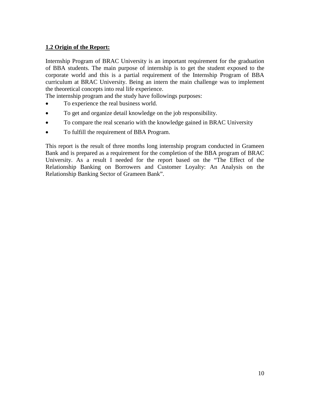#### **1.2 Origin of the Report:**

Internship Program of BRAC University is an important requirement for the graduation of BBA students. The main purpose of internship is to get the student exposed to the corporate world and this is a partial requirement of the Internship Program of BBA curriculum at BRAC University. Being an intern the main challenge was to implement the theoretical concepts into real life experience.

The internship program and the study have followings purposes:

- To experience the real business world.
- To get and organize detail knowledge on the job responsibility.
- To compare the real scenario with the knowledge gained in BRAC University
- To fulfill the requirement of BBA Program.

This report is the result of three months long internship program conducted in Grameen Bank and is prepared as a requirement for the completion of the BBA program of BRAC University. As a result I needed for the report based on the "The Effect of the Relationship Banking on Borrowers and Customer Loyalty: An Analysis on the Relationship Banking Sector of Grameen Bank".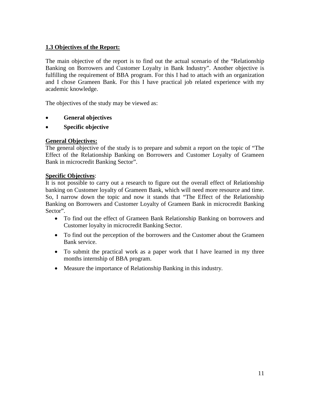#### **1.3 Objectives of the Report:**

The main objective of the report is to find out the actual scenario of the "Relationship Banking on Borrowers and Customer Loyalty in Bank Industry". Another objective is fulfilling the requirement of BBA program. For this I had to attach with an organization and I chose Grameen Bank. For this I have practical job related experience with my academic knowledge.

The objectives of the study may be viewed as:

- **General objectives**
- **Specific objective**

#### **General Objectives:**

The general objective of the study is to prepare and submit a report on the topic of "The Effect of the Relationship Banking on Borrowers and Customer Loyalty of Grameen Bank in microcredit Banking Sector".

#### **Specific Objectives** :

It is not possible to carry out a research to figure out the overall effect of Relationship banking on Customer loyalty of Grameen Bank, which will need more resource and time. So, I narrow down the topic and now it stands that "The Effect of the Relationship Banking on Borrowers and Customer Loyalty of Grameen Bank in microcredit Banking Sector".

- To find out the effect of Grameen Bank Relationship Banking on borrowers and Customer loyalty in microcredit Banking Sector.
- To find out the perception of the borrowers and the Customer about the Grameen Bank service.
- To submit the practical work as a paper work that I have learned in my three months internship of BBA program.
- Measure the importance of Relationship Banking in this industry.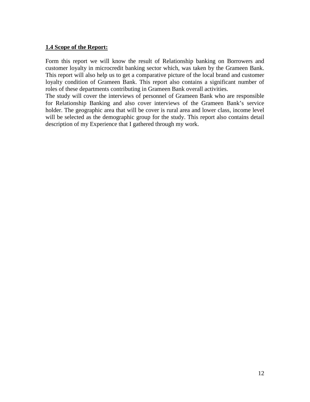#### **1.4 Scope of the Report:**

Form this report we will know the result of Relationship banking on Borrowers and customer loyalty in microcredit banking sector which, was taken by the Grameen Bank. This report will also help us to get a comparative picture of the local brand and customer loyalty condition of Grameen Bank. This report also contains a significant number of roles of these departments contributing in Grameen Bank overall activities.

The study will cover the interviews of personnel of Grameen Bank who are responsible for Relationship Banking and also cover interviews of the Grameen Bank's service holder. The geographic area that will be cover is rural area and lower class, income level will be selected as the demographic group for the study. This report also contains detail description of my Experience that I gathered through my work.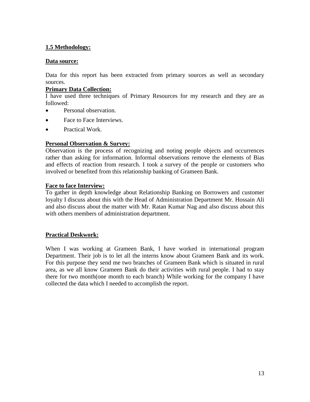#### **1.5 Methodology:**

#### **Data source:**

Data for this report has been extracted from primary sources as well as secondary sources.

#### **Primary Data Collection:**

I have used three techniques of Primary Resources for my research and they are as followed:

- Personal observation.
- Face to Face Interviews.
- Practical Work.

#### **Personal Observation & Survey:**

Observation is the process of recognizing and noting people objects and occurrences rather than asking for information. Informal observations remove the elements of Bias and effects of reaction from research. I took a survey of the people or customers who involved or benefited from this relationship banking of Grameen Bank.

#### **Face to face Interview:**

To gather in depth knowledge about Relationship Banking on Borrowers and customer loyalty I discuss about this with the Head of Administration Department Mr. Hossain Ali and also discuss about the matter with Mr. Ratan Kumar Nag and also discuss about this with others members of administration department.

#### **Practical Deskwork:**

When I was working at Grameen Bank, I have worked in international program Department. Their job is to let all the interns know about Grameen Bank and its work. For this purpose they send me two branches of Grameen Bank which is situated in rural area, as we all know Grameen Bank do their activities with rural people. I had to stay there for two month(one month to each branch) While working for the company I have collected the data which I needed to accomplish the report.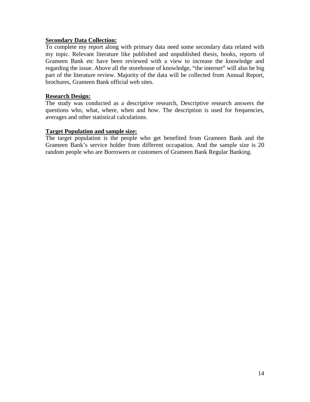#### **Secondary Data Collection:**

To complete my report along with primary data need some secondary data related with my topic. Relevant literature like published and unpublished thesis, books, reports of Grameen Bank etc have been reviewed with a view to increase the knowledge and regarding the issue. Above all the storehouse of knowledge, "the internet" will also be big part of the literature review. Majority of the data will be collected from Annual Report, brochures, Grameen Bank official web sites.

#### **Research Design:**

The study was conducted as a descriptive research, Descriptive research answers the questions who, what, where, when and how. The description is used for frequencies, averages and other statistical calculations.

#### **Target Population and sample size:**

The target population is the people who get benefited from Grameen Bank and the Grameen Bank's service holder from different occupation. And the sample size is 20 random people who are Borrowers or customers of Grameen Bank Regular Banking.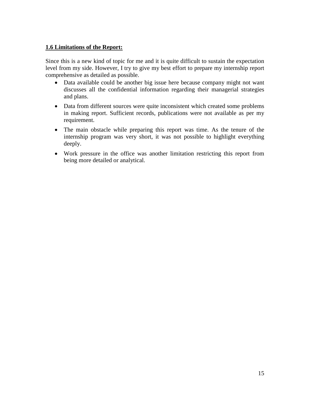#### **1.6 Limitations of the Report:**

Since this is a new kind of topic for me and it is quite difficult to sustain the expectation level from my side. However, I try to give my best effort to prepare my internship report comprehensive as detailed as possible.

- Data available could be another big issue here because company might not want discusses all the confidential information regarding their managerial strategies and plans.
- Data from different sources were quite inconsistent which created some problems in making report. Sufficient records, publications were not available as per my requirement.
- The main obstacle while preparing this report was time. As the tenure of the internship program was very short, it was not possible to highlight everything deeply.
- Work pressure in the office was another limitation restricting this report from being more detailed or analytical.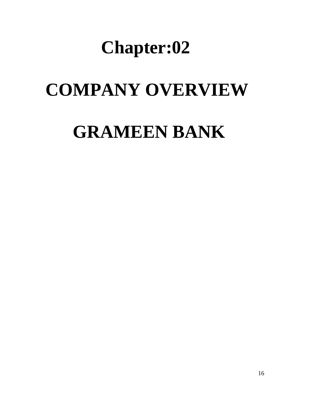# **Chapter:02**

# **COMPANY OVERVIEW**

# **GRAMEEN BANK**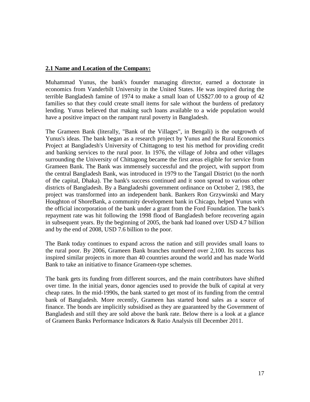#### **2.1 Name and Location of the Company:**

[Muhammad Yunus,](http://en.wikipedia.org/wiki/Muhammad_Yunus) the bank's founder managing director, earned a doctorate in [economics](http://en.wikipedia.org/wiki/Economics) from [Vanderbilt University](http://en.wikipedia.org/wiki/Vanderbilt_University) in the United States. He was inspired during the terrible [Bangladesh famine of 1974](http://en.wikipedia.org/wiki/Bangladesh_famine_of_1974) to make a small loan of US\$27.00 to a group of 42 families so that they could create small items for sale without the burdens of [predatory](http://en.wikipedia.org/wiki/Predatory_lending)  [lending.](http://en.wikipedia.org/wiki/Predatory_lending) Yunus believed that making such loans available to a wide population would have a positive impact on the rampant rural poverty in Bangladesh.

The Grameen Bank (literally, "Bank of the Villages", in [Bengali\)](http://en.wikipedia.org/wiki/Bengali_language) is the outgrowth of Yunus's ideas. The bank began as a research project by Yunus and the Rural Economics Project at Bangladesh's [University of Chittagong](http://en.wikipedia.org/wiki/University_of_Chittagong) to test his method for providing credit and banking services to the rural poor. In 1976, the village of Jobra and other villages surrounding the University of Chittagong became the first areas eligible for service from Grameen Bank. The Bank was immensely successful and the project, with support from the [central](http://en.wikipedia.org/wiki/Central_bank) [Bangladesh Bank,](http://en.wikipedia.org/wiki/Bangladesh_Bank) was introduced in 1979 to the [Tangail District](http://en.wikipedia.org/wiki/Tangail_District) (to the north of the capital, [Dhaka\)](http://en.wikipedia.org/wiki/Dhaka). The bank's success continued and it soon spread to various other districts of Bangladesh. By a Bangladeshi government ordinance on October 2, 1983, the project was transformed into an independent bank. Bankers [Ron Grzywinski](http://en.wikipedia.org/wiki/Ron_Grzywinski) and [Mary](http://en.wikipedia.org/wiki/Mary_Houghton)  [Houghton](http://en.wikipedia.org/wiki/Mary_Houghton) of [ShoreBank,](http://en.wikipedia.org/wiki/ShoreBank) a community development bank in [Chicago,](http://en.wikipedia.org/wiki/Chicago) helped Yunus with the official incorporation of the bank under a grant from the [Ford Foundation.](http://en.wikipedia.org/wiki/Ford_Foundation) The bank's repayment rate was hit following the 1998 flood of Bangladesh before recovering again in subsequent years. By the beginning of 2005, the bank had loaned over USD 4.7 billion and by the end of 2008, USD 7.6 billion to the poor.

The Bank today continues to expand across the nation and still provides small loans to the rural poor. By 2006, Grameen Bank branches numbered over 2,100. Its success has inspired similar projects in more than 40 countries around the world and has made World Bank to take an initiative to finance Grameen-type schemes.

The bank gets its funding from different sources, and the main contributors have shifted over time. In the initial years, donor agencies used to provide the bulk of capital at very cheap rates. In the mid-1990s, the bank started to get most of its funding from the central bank of Bangladesh. More recently, Grameen has started bond sales as a source of finance. The bonds are implicitly subsidised as they are guaranteed by the Government of Bangladesh and still they are sold above the bank rate. Below there is a look at a glance of Grameen Banks Performance Indicators & Ratio Analysis till December 2011.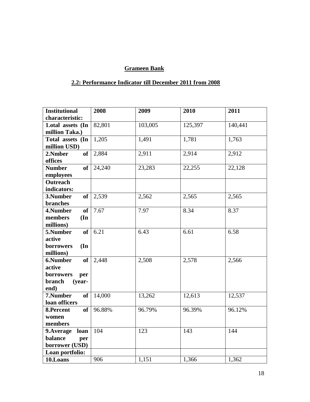#### **Grameen Bank**

#### **2.2: Performance Indicator till December 2011 from 2008**

| <b>Institutional</b>          | 2008   | 2009    | 2010    | 2011    |
|-------------------------------|--------|---------|---------|---------|
| characteristic:               |        |         |         |         |
| 1.otal assets (In             | 82,801 | 103,005 | 125,397 | 140,441 |
| million Taka.)                |        |         |         |         |
| Total assets (In              | 1,205  | 1,491   | 1,781   | 1,763   |
| million USD)                  |        |         |         |         |
| <b>of</b><br>2.Nmber          | 2,884  | 2,911   | 2,914   | 2,912   |
| offices                       |        |         |         |         |
| <b>Number</b><br>of           | 24,240 | 23,283  | 22,255  | 22,128  |
| employees                     |        |         |         |         |
| <b>Outreach</b>               |        |         |         |         |
| indicators:                   |        |         |         |         |
| 3.Number<br><b>of</b>         | 2,539  | 2,562   | 2,565   | 2,565   |
| branches                      |        |         |         |         |
| 4.Number<br><b>of</b>         | 7.67   | 7.97    | 8.34    | 8.37    |
| members<br>$(\mathbf{In})$    |        |         |         |         |
| millions)                     |        |         |         |         |
| 5.Number<br><b>of</b>         | 6.21   | 6.43    | 6.61    | 6.58    |
| active                        |        |         |         |         |
| borrowers<br>$(\mathbf{In})$  |        |         |         |         |
| millions)                     |        |         |         |         |
| 6.Number<br><b>of</b>         | 2,448  | 2,508   | 2,578   | 2,566   |
| active                        |        |         |         |         |
| borrowers<br>per              |        |         |         |         |
| branch<br>$(year-$            |        |         |         |         |
| end)<br>7.Number<br><b>of</b> | 14,000 | 13,262  | 12,613  | 12,537  |
| loan officers                 |        |         |         |         |
| 8.Percent<br>of               | 96.88% | 96.79%  | 96.39%  | 96.12%  |
| women                         |        |         |         |         |
| members                       |        |         |         |         |
| 9. Average<br>loan            | 104    | 123     | 143     | 144     |
| balance<br>per                |        |         |         |         |
| borrower (USD)                |        |         |         |         |
| Loan portfolio:               |        |         |         |         |
| 10.Loans                      | 906    | 1,151   | 1,366   | 1,362   |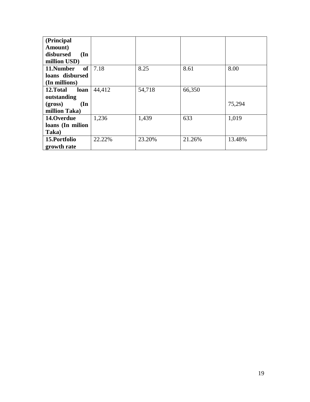| (Principal                   |        |        |        |        |
|------------------------------|--------|--------|--------|--------|
| Amount)                      |        |        |        |        |
| disbursed<br>$(\mathbf{In})$ |        |        |        |        |
| million USD)                 |        |        |        |        |
| <b>of</b><br>11.Number       | 7.18   | 8.25   | 8.61   | 8.00   |
| loans disbursed              |        |        |        |        |
| (In millions)                |        |        |        |        |
| 12.Total<br>loan             | 44,412 | 54,718 | 66,350 |        |
| outstanding                  |        |        |        |        |
| (gross)<br>$(\mathbf{In})$   |        |        |        | 75,294 |
| million Taka)                |        |        |        |        |
| 14.Overdue                   | 1,236  | 1,439  | 633    | 1,019  |
| loans (In milion             |        |        |        |        |
| Taka)                        |        |        |        |        |
| 15.Portfolio                 | 22.22% | 23.20% | 21.26% | 13.48% |
| growth rate                  |        |        |        |        |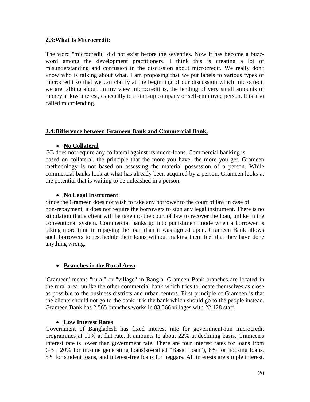#### **2.3:What Is Microcredit**:

The word "microcredit" did not exist before the seventies. Now it has become a buzzword among the development practitioners. I think this is creating a lot of misunderstanding and confusion in the discussion about microcredit. We really don't know who is talking about what. I am proposing that we put labels to various types of microcredit so that we can clarify at the beginning of our discussion which microcredit we are talking about. In my view microcredit is, the lending of very small amounts of money at low interest, especially to a start-up company or self-employed person. It is also called [microlending.](http://dictionary.reference.com/browse/microlending)

#### **2.4:Difference between Grameen Bank and Commercial Bank.**

#### • **No Collateral**

GB does not require any collateral against its micro-loans. Commercial banking is based on collateral, the principle that the more you have, the more you get. Grameen methodology is not based on assessing the material possession of a person. While commercial banks look at what has already been acquired by a person, Grameen looks at the potential that is waiting to be unleashed in a person.

#### • **No Legal Instrument**

Since the Grameen does not wish to take any borrower to the court of law in case of non-repayment, it does not require the borrowers to sign any legal instrument. There is no stipulation that a client will be taken to the court of law to recover the loan, unlike in the conventional system. Commercial banks go into punishment mode when a borrower is taking more time in repaying the loan than it was agreed upon. Grameen Bank allows such borrowers to reschedule their loans without making them feel that they have done anything wrong.

#### • **Branches in the Rural Area**

'Grameen' means "rural" or "village" in Bangla. Grameen Bank branches are located in the rural area, unlike the other commercial bank which tries to locate themselves as close as possible to the business districts and urban centers. First principle of Grameen is that the clients should not go to the bank, it is the bank which should go to the people instead. Grameen Bank has 2,565 branches,works in 83,566 villages with 22,128 staff.

#### • **Low Interest Rates**

Government of Bangladesh has fixed interest rate for government-run microcredit programmes at 11% at flat rate. It amounts to about 22% at declining basis. Grameen's interest rate is lower than government rate. There are four interest rates for loans from GB : 20% for income generating loans(so-called "Basic Loan"), 8% for housing loans, 5% for student loans, and interest-free loans for beggars. All interests are simple interest,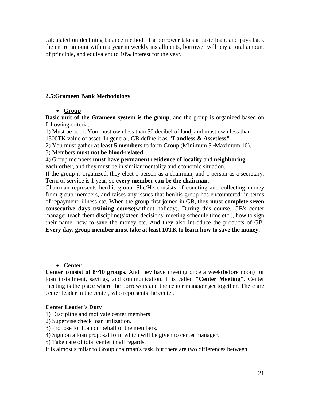calculated on declining balance method. If a borrower takes a basic loan, and pays back the entire amount within a year in weekly installments, borrower will pay a total amount of principle, and equivalent to 10% interest for the year.

#### **2.5:Grameen Bank Methodology**

#### • **Group**

**Basic unit of the Grameen system is the group**, and the group is organized based on following criteria.

1) Must be poor. You must own less than 50 decibel of land, and must own less than 1500TK value of asset. In general, GB define it as **"Landless & Assetless"**

2) You must gather **at least 5 members** to form Group (Minimum 5~Maximum 10).

3) Members **must not be blood-related**.

4) Group members **must have permanent residence of locality** and **neighboring each other**, and they must be in similar mentality and economic situation.

If the group is organized, they elect 1 person as a chairman, and 1 person as a secretary. Term of service is 1 year, so **every member can be the chairman**.

Chairman represents her/his group. She/He consists of counting and collecting money from group members, and raises any issues that her/his group has encountered: in terms of repayment, illness etc. When the group first joined in GB, they **must complete seven consecutive days training course**(without holiday). During this course, GB's center manager teach them discipline(sixteen decisions, meeting schedule time etc.), how to sign their name, how to save the money etc. And they also introduce the products of GB. **Every day, group member must take at least 10TK to learn how to save the money.**

#### • **Center**

**Center consist of 8~10 groups.** And they have meeting once a week(before noon) for loan installment, savings, and communication. It is called **"Center Meeting"**. Center meeting is the place where the borrowers and the center manager get together. There are center leader in the center, who represents the center.

#### **Center Leader's Duty**

1) Discipline and motivate center members

- 2) Supervise check loan utilization.
- 3) Propose for loan on behalf of the members.
- 4) Sign on a loan proposal form which will be given to center manager.
- 5) Take care of total center in all regards.

It is almost similar to Group chairman's task, but there are two differences between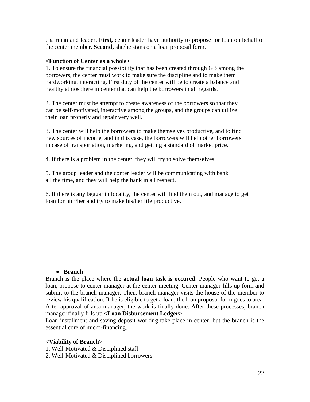chairman and leader**. First,** center leader have authority to propose for loan on behalf of the center member. **Second,** she/he signs on a loan proposal form.

#### **<Function of Center as a whole>**

1. To ensure the financial possibility that has been created through GB among the borrowers, the center must work to make sure the discipline and to make them hardworking, interacting. First duty of the center will be to create a balance and healthy atmosphere in center that can help the borrowers in all regards.

2. The center must be attempt to create awareness of the borrowers so that they can be self-motivated, interactive among the groups, and the groups can utilize their loan properly and repair very well.

3. The center will help the borrowers to make themselves productive, and to find new sources of income, and in this case, the borrowers will help other borrowers in case of transportation, marketing, and getting a standard of market price.

4. If there is a problem in the center, they will try to solve themselves.

5. The group leader and the conter leader will be communicating with bank all the time, and they will help the bank in all respect.

6. If there is any beggar in locality, the center will find them out, and manage to get loan for him/her and try to make his/her life productive.

#### • **Branch**

Branch is the place where the **actual loan task is occured**. People who want to get a loan, propose to center manager at the center meeting. Center manager fills up form and submit to the branch manager. Then, branch manager visits the house of the member to review his qualification. If he is eligible to get a loan, the loan proposal form goes to area. After approval of area manager, the work is finally done. After these processes, branch manager finally fills up **<Loan Disbursement Ledger>**.

Loan installment and saving deposit working take place in center, but the branch is the essential core of micro-financing.

#### **<Viability of Branch>**

- 1. Well-Motivated & Disciplined staff.
- 2. Well-Motivated & Disciplined borrowers.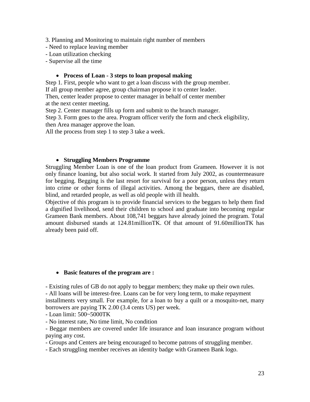3. Planning and Monitoring to maintain right number of members

- Need to replace leaving member
- Loan utilization checking
- Supervise all the time

#### • **Process of Loan - 3 steps to loan proposal making**

Step 1. First, people who want to get a loan discuss with the group member. If all group member agree, group chairman propose it to center leader. Then, center leader propose to center manager in behalf of center member at the next center meeting.

Step 2. Center manager fills up form and submit to the branch manager.

Step 3. Form goes to the area. Program officer verify the form and check eligibility, then Area manager approve the loan.

All the process from step 1 to step 3 take a week.

#### • **Struggling Members Programme**

Struggling Member Loan is one of the loan product from Grameen. However it is not only finance loaning, but also social work. It started from July 2002, as countermeasure for begging. Begging is the last resort for survival for a poor person, unless they return into crime or other forms of illegal activities. Among the beggars, there are disabled, blind, and retarded people, as well as old people with ill health.

Objective of this program is to provide financial services to the beggars to help them find a dignified livelihood, send their children to school and graduate into becoming regular Grameen Bank members. About 108,741 beggars have already joined the program. Total amount disbursed stands at 124.81millionTK. Of that amount of 91.60millionTK has already been paid off.

#### • **Basic features of the program are :**

- Existing rules of GB do not apply to beggar members; they make up their own rules. - All loans will be interest-free. Loans can be for very long term, to make repayment installments very small. For example, for a loan to buy a quilt or a mosquito-net, many borrowers are paying TK 2.00 (3.4 cents US) per week.

- Loan limit: 500~5000TK

- No interest rate, No time limit, No condition

- Beggar members are covered under life insurance and loan insurance program without paying any cost.

- Groups and Centers are being encouraged to become patrons of struggling member.

- Each struggling member receives an identity badge with Grameen Bank logo.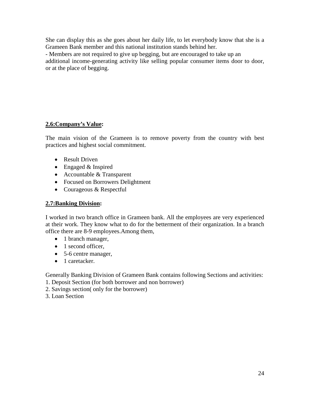She can display this as she goes about her daily life, to let everybody know that she is a Grameen Bank member and this national institution stands behind her.

- Members are not required to give up begging, but are encouraged to take up an additional income-generating activity like selling popular consumer items door to door, or at the place of begging.

#### **2.6:Company's Value:**

The main vision of the Grameen is to remove poverty from the country with best practices and highest social commitment.

- Result Driven
- Engaged & Inspired
- Accountable & Transparent
- Focused on Borrowers Delightment
- Courageous & Respectful

#### **2.7:Banking Division:**

I worked in two branch office in Grameen bank. All the employees are very experienced at their work. They know what to do for the betterment of their organization. In a branch office there are 8-9 employees.Among them,

- 1 branch manager,
- 1 second officer.
- 5-6 centre manager,
- 1 caretacker.

Generally Banking Division of Grameen Bank contains following Sections and activities: 1. Deposit Section (for both borrower and non borrower)

- 2. Savings section( only for the borrower)
- 3. Loan Section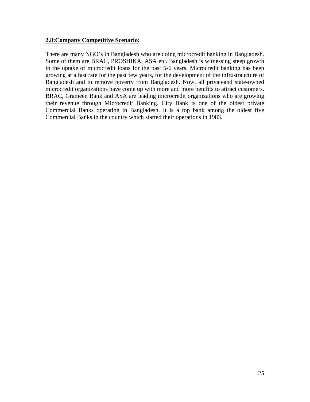#### **2.8:Company Competitive Scenario:**

There are many NGO's in Bangladesh who are doing microcredit banking in Bangladesh. Some of them are BRAC, PROSHIKA, ASA etc. Bangladesh is witnessing steep growth in the uptake of microcredit loans for the past 5-6 years. Microcredit banking has been growing at a fast rate for the past few years, for the development of the infrustraucture of Bangladesh and to remove poverty from Bangladesh. Now, all privateand state-owned microcredit organizations have come up with more and more benifits to attract customers. BRAC, Grameen Bank and ASA are leading microcredit organizations who are growing their revenue through Microcredit Banking. City Bank is one of the oldest private Commercial Banks operating in Bangladesh. It is a top bank among the oldest five Commercial Banks in the country which started their operations in 1983.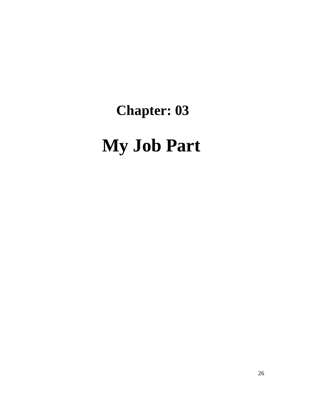# **Chapter: 03 My Job Part**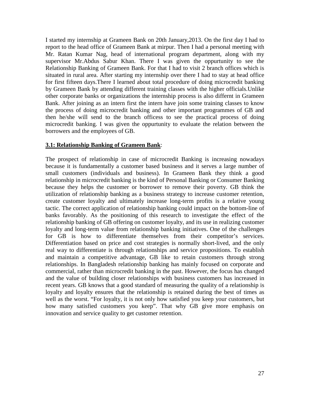I started my internship at Grameen Bank on 20th January,2013. On the first day I had to report to the head office of Grameen Bank at mirpur. Then I had a personal meeting with Mr. Ratan Kumar Nag, head of international program department, along with my supervisor Mr.Abdus Sabur Khan. There I was given the oppurtunity to see the Relationship Banking of Grameen Bank. For that I had to visit 2 branch offices which is situated in rural area. After starting my internship over there I had to stay at head office for first fifteen days.There I learned about total procedure of doing microcredit banking by Grameen Bank by attending different training classes with the higher officials.Unlike other corporate banks or organizations the internship process is also differnt in Grameen Bank. After joining as an intern first the intern have join some training classes to know the process of doing microcredit banking and other important programmes of GB and then he/she will send to the branch officess to see the practical process of doing microcredit banking. I was given the oppurtunity to evaluate the relation between the borrowers and the employees of GB.

#### **3.1: Relationship Banking of Grameen Bank**:

The prospect of relationship in case of microcredit Banking is increasing nowadays because it is fundamentally a customer based business and it serves a large number of small customers (individuals and business). In Grameen Bank they think a good relationship in microcredit banking is the kind of Personal Banking or Consumer Banking because they helps the customer or borrower to remove their poverty. GB think the utilization of relationship banking as a business strategy to increase customer retention, create customer loyalty and ultimately increase long-term profits is a relative young tactic. The correct application of relationship banking could impact on the bottom-line of banks favorably. As the positioning of this research to investigate the effect of the relationship banking of GB offering on customer loyalty, and its use in realizing customer loyalty and long-term value from relationship banking initiatives. One of the challenges for GB is how to differentiate themselves from their competitor's services. Differentiation based on price and cost strategies is normally short-lived, and the only real way to differentiate is through relationships and service propositions. To establish and maintain a competitive advantage, GB like to retain customers through strong relationships. In Bangladesh relationship banking has mainly focused on corporate and commercial, rather than microcredit banking in the past. However, the focus has changed and the value of building closer relationships with business customers has increased in recent years. GB knows that a good standard of measuring the quality of a relationship is loyalty and loyalty ensures that the relationship is retained during the best of times as well as the worst. "For loyalty, it is not only how satisfied you keep your customers, but how many satisfied customers you keep". That why GB give more emphasis on innovation and service quality to get customer retention.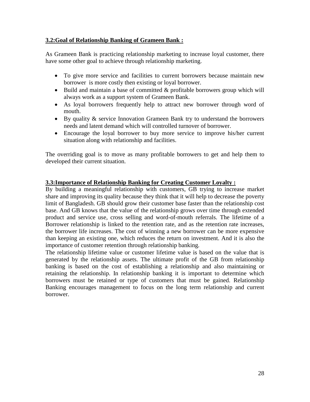#### **3.2:Goal of Relationship Banking of Grameen Bank :**

As Grameen Bank is practicing relationship marketing to increase loyal customer, there have some other goal to achieve through relationship marketing.

- To give more service and facilities to current borrowers because maintain new borrower is more costly then existing or loyal borrower.
- Build and maintain a base of committed & profitable borrowers group which will always work as a support system of Grameen Bank.
- As loyal borrowers frequently help to attract new borrower through word of mouth.
- By quality & service Innovation Grameen Bank try to understand the borrowers needs and latent demand which will controlled turnover of borrower.
- Encourage the loyal borrower to buy more service to improve his/her current situation along with relationship and facilities.

The overriding goal is to move as many profitable borrowers to get and help them to developed their current situation.

#### **3.3:Importance of Relationship Banking for Creating Customer Loyalty :**

By building a meaningful relationship with customers, GB trying to increase market share and improving its quality because they think that it will help to decrease the poverty limit of Bangladesh. GB should grow their customer base faster than the relationship cost base. And GB knows that the value of the relationship grows over time through extended product and service use, cross selling and word-of-mouth referrals. The lifetime of a Borrower relationship is linked to the retention rate, and as the retention rate increases, the borrower life increases. The cost of winning a new borrower can be more expensive than keeping an existing one, which reduces the return on investment. And it is also the importance of customer retention through relationship banking.

The relationship lifetime value or customer lifetime value is based on the value that is generated by the relationship assets. The ultimate profit of the GB from relationship banking is based on the cost of establishing a relationship and also maintaining or retaining the relationship. In relationship banking it is important to determine which borrowers must be retained or type of customers that must be gained. Relationship Banking encourages management to focus on the long term relationship and current borrower.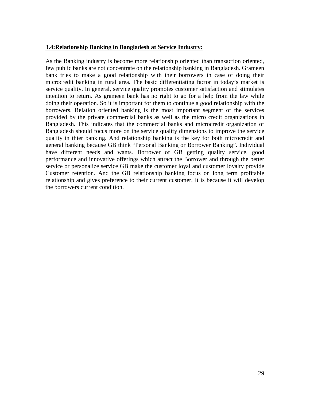#### **3.4:Relationship Banking in Bangladesh at Service Industry:**

As the Banking industry is become more relationship oriented than transaction oriented, few public banks are not concentrate on the relationship banking in Bangladesh. Grameen bank tries to make a good relationship with their borrowers in case of doing their microcredit banking in rural area. The basic differentiating factor in today's market is service quality. In general, service quality promotes customer satisfaction and stimulates intention to return. As grameen bank has no right to go for a help from the law while doing their operation. So it is important for them to continue a good relationship with the borrowers. Relation oriented banking is the most important segment of the services provided by the private commercial banks as well as the micro credit organizations in Bangladesh. This indicates that the commercial banks and microcredit organization of Bangladesh should focus more on the service quality dimensions to improve the service quality in thier banking. And relationship banking is the key for both microcredit and general banking because GB think "Personal Banking or Borrower Banking". Individual have different needs and wants. Borrower of GB getting quality service, good performance and innovative offerings which attract the Borrower and through the better service or personalize service GB make the customer loyal and customer loyalty provide Customer retention. And the GB relationship banking focus on long term profitable relationship and gives preference to their current customer. It is because it will develop the borrowers current condition.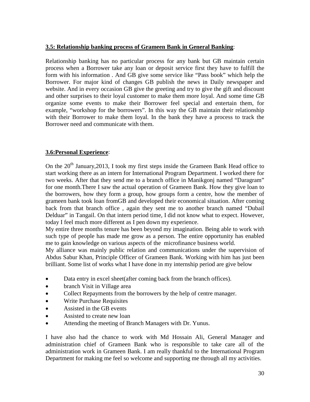#### **3.5: Relationship banking process of Grameen Bank in General Banking**:

Relationship banking has no particular process for any bank but GB maintain certain process when a Borrower take any loan or deposit service first they have to fulfill the form with his information . And GB give some service like "Pass book" which help the Borrower. For major kind of changes GB publish the news in Daily newspaper and website. And in every occasion GB give the greeting and try to give the gift and discount and other surprises to their loyal customer to make them more loyal. And some time GB organize some events to make their Borrower feel special and entertain them, for example, "workshop for the borrowers". In this way the GB maintain their relationship with their Borrower to make them loyal. In the bank they have a process to track the Borrower need and communicate with them.

#### **3.6:Personal Experience**:

On the  $20<sup>th</sup>$  January, 2013, I took my first steps inside the Grameen Bank Head office to start working there as an intern for International Program Department. I worked there for two weeks. After that they send me to a branch office in Manikgonj named "Daragram" for one month.There I saw the actual operation of Grameen Bank. How they give loan to the borrowers, how they form a group, how groups form a centre, how the member of grameen bank took loan fromGB and developed their economical situation. After coming back from that branch office , again they sent me to another branch named "Dubail Delduar" in Tangail. On that intern period time, I did not know what to expect. However, today I feel much more different as I pen down my experience.

My entire three months tenure has been beyond my imagination. Being able to work with such type of people has made me grow as a person. The entire opportunity has enabled me to gain knowledge on various aspects of the microfinance business world.

My alliance was mainly public relation and communications under the supervision of Abdus Sabur Khan, Principle Officer of Grameen Bank. Working with him has just been brilliant. Some list of works what I have done in my internship period are give below

- Data entry in excel sheet(after coming back from the branch offices).
- branch Visit in Village area
- Collect Repayments from the borrowers by the help of centre manager.
- Write Purchase Requisites
- Assisted in the GB events
- Assisted to create new loan
- Attending the meeting of Branch Managers with Dr. Yunus.

I have also had the chance to work with Md Hossain Ali, General Manager and administration chief of Grameen Bank who is responsible to take care all of the administration work in Grameen Bank. I am really thankful to the International Program Department for making me feel so welcome and supporting me through all my activities.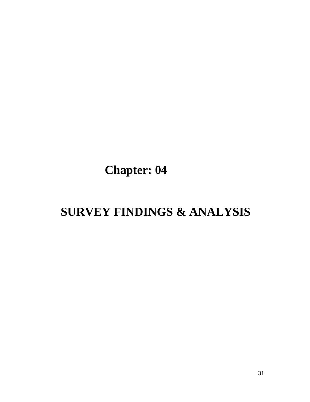# **Chapter: 04**

## **SURVEY FINDINGS & ANALYSIS**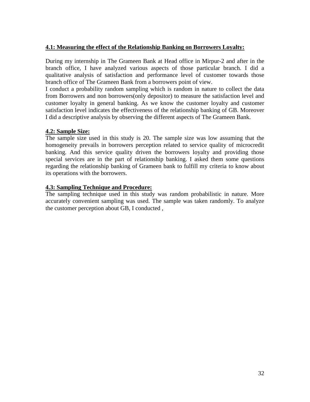#### **4.1: Measuring the effect of the Relationship Banking on Borrowers Loyalty:**

During my internship in The Grameen Bank at Head office in Mirpur-2 and after in the branch office, I have analyzed various aspects of those particular branch. I did a qualitative analysis of satisfaction and performance level of customer towards those branch office of The Grameen Bank from a borrowers point of view.

I conduct a probability random sampling which is random in nature to collect the data from Borrowers and non borrowers(only depositor) to measure the satisfaction level and customer loyalty in general banking. As we know the customer loyalty and customer satisfaction level indicates the effectiveness of the relationship banking of GB. Moreover I did a descriptive analysis by observing the different aspects of The Grameen Bank.

#### **4.2: Sample Size:**

The sample size used in this study is 20. The sample size was low assuming that the homogeneity prevails in borrowers perception related to service quality of microcredit banking. And this service quality driven the borrowers loyalty and providing those special services are in the part of relationship banking. I asked them some questions regarding the relationship banking of Grameen bank to fulfill my criteria to know about its operations with the borrowers.

#### **4.3: Sampling Technique and Procedure:**

The sampling technique used in this study was random probabilistic in nature. More accurately convenient sampling was used. The sample was taken randomly. To analyze the customer perception about GB, I conducted ,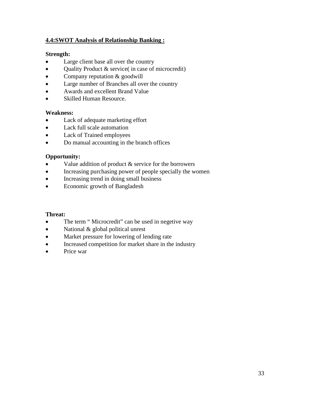#### **4.4:SWOT Analysis of Relationship Banking :**

#### **Strength:**

- Large client base all over the country
- Quality Product & service( in case of microcredit)
- Company reputation & goodwill
- Large number of Branches all over the country
- Awards and excellent Brand Value
- Skilled Human Resource.

#### **Weakness:**

- Lack of adequate marketing effort
- Lack full scale automation
- Lack of Trained employees
- Do manual accounting in the branch offices

#### **Opportunity:**

- Value addition of product  $&$  service for the borrowers
- Increasing purchasing power of people specially the women
- Increasing trend in doing small business
- Economic growth of Bangladesh

#### **Threat:**

- The term "Microcredit" can be used in negetive way
- National & global political unrest
- Market pressure for lowering of lending rate
- Increased competition for market share in the industry
- Price war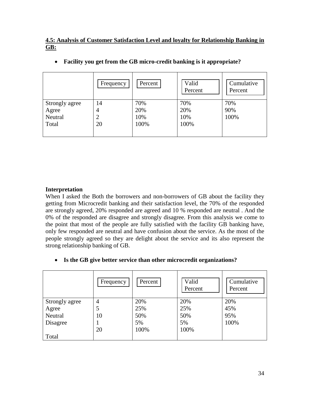#### **4.5: Analysis of Customer Satisfaction Level and loyalty for Relationship Banking in GB:**

|                | Frequency      | Percent | Valid<br>Percent | Cumulative<br>Percent |
|----------------|----------------|---------|------------------|-----------------------|
| Strongly agree | 14             | 70%     | 70%              | 70%                   |
| Agree          | 4              | 20%     | 20%              | 90%                   |
| Neutral        | $\overline{2}$ | 10%     | 10%              | 100%                  |
| Total          | 20             | 100%    | 100%             |                       |
|                |                |         |                  |                       |

• **Facility you get from the GB micro-credit banking is it appropriate?**

#### **Interpretation**

When I asked the Both the borrowers and non-borrowers of GB about the facility they getting from Microcredit banking and their satisfaction level, the 70% of the responded are strongly agreed, 20% responded are agreed and 10 % responded are neutral . And the 0% of the responded are disagree and strongly disagree. From this analysis we come to the point that most of the people are fully satisfied with the facility GB banking have, only few responded are neutral and have confusion about the service. As the most of the people strongly agreed so they are delight about the service and its also represent the strong relationship banking of GB.

#### • **Is the GB give better service than other microcredit organizations?**

|                | Frequency | Percent | Valid<br>Percent | Cumulative<br>Percent |
|----------------|-----------|---------|------------------|-----------------------|
| Strongly agree | 4         | 20%     | 20%              | 20%                   |
| Agree          | 5         | 25%     | 25%              | 45%                   |
| Neutral        | 10        | 50%     | 50%              | 95%                   |
| Disagree       |           | 5%      | 5%               | 100%                  |
|                | 20        | 100%    | 100%             |                       |
| Total          |           |         |                  |                       |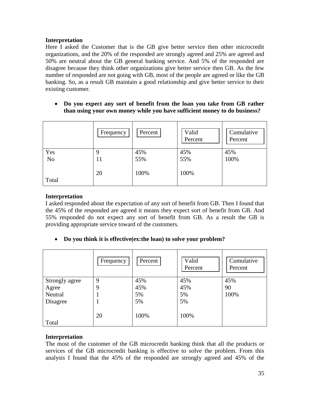Here I asked the Customer that is the GB give better service then other microcredit organizations, and the 20% of the responded are strongly agreed and 25% are agreed and 50% are neutral about the GB general banking service. And 5% of the responded are disagree because they think other organizations give better service then GB. As the few number of responded are not going with GB, most of the people are agreed or like the GB banking. So, as a result GB maintain a good relationship and give better service to their existing customer.

• **Do you expect any sort of benefit from the loan you take from GB rather than using your own money while you have sufficient money to do business?**

|                | Frequency | Percent | Valid<br>Percent | Cumulative<br>Percent |
|----------------|-----------|---------|------------------|-----------------------|
| Yes            | 9         | 45%     | 45%              | 45%                   |
| N <sub>o</sub> | 11        | 55%     | 55%              | 100%                  |
|                | 20        | 100%    | 100%             |                       |
| Total          |           |         |                  |                       |

#### **Interpretation**

I asked responded about the expectation of any sort of benefit from GB. Then I found that the 45% of the responded are agreed it means they expect sort of benefit from GB. And 55% responded do not expect any sort of benefit from GB. As a result the GB is providing appropriate service toward of the customers.

• **Do you think it is effective(ex:the loan) to solve your problem?**

|                | Frequency | Percent | Valid<br>Percent | Cumulative<br>Percent |
|----------------|-----------|---------|------------------|-----------------------|
| Strongly agree | 9         | 45%     | 45%              | 45%                   |
| Agree          | 9         | 45%     | 45%              | 90                    |
| Neutral        |           | 5%      | 5%               | 100%                  |
| Disagree       |           | 5%      | 5%               |                       |
| Total          | 20        | 100%    | 100%             |                       |

#### **Interpretation**

The most of the customer of the GB microcredit banking think that all the products or services of the GB microcredit banking is effective to solve the problem. From this analysis I found that the 45% of the responded are strongly agreed and 45% of the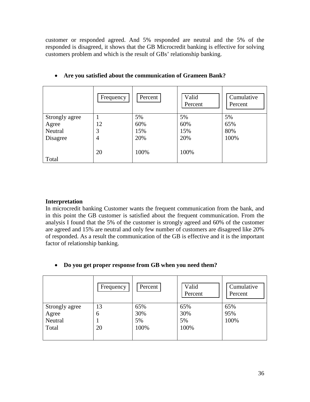customer or responded agreed. And 5% responded are neutral and the 5% of the responded is disagreed, it shows that the GB Microcredit banking is effective for solving customers problem and which is the result of GBs' relationship banking.

|                | Frequency | Percent | Valid<br>Percent | Cumulative<br>Percent |
|----------------|-----------|---------|------------------|-----------------------|
| Strongly agree |           | 5%      | 5%               | 5%                    |
| Agree          | 12        | 60%     | 60%              | 65%                   |
| Neutral        | 3         | 15%     | 15%              | 80%                   |
| Disagree       | 4         | 20%     | 20%              | 100%                  |
| Total          | 20        | 100%    | 100%             |                       |

#### • **Are you satisfied about the communication of Grameen Bank?**

#### **Interpretation**

In microcredit banking Customer wants the frequent communication from the bank, and in this point the GB customer is satisfied about the frequent communication. From the analysis I found that the 5% of the customer is strongly agreed and 60% of the customer are agreed and 15% are neutral and only few number of customers are disagreed like 20% of responded. As a result the communication of the GB is effective and it is the important factor of relationship banking.

#### • **Do you get proper response from GB when you need them?**

|                | Frequency | Percent | Valid<br>Percent | Cumulative<br>Percent |
|----------------|-----------|---------|------------------|-----------------------|
| Strongly agree | 13        | 65%     | 65%              | 65%                   |
| Agree          | 6         | 30%     | 30%              | 95%                   |
| Neutral        |           | 5%      | 5%               | 100%                  |
| Total          | 20        | 100%    | 100%             |                       |
|                |           |         |                  |                       |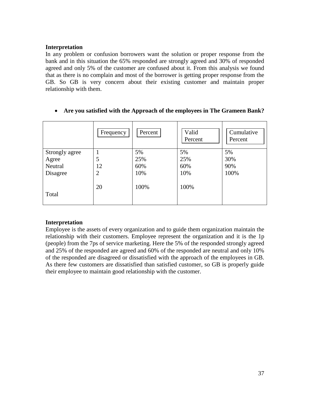In any problem or confusion borrowers want the solution or proper response from the bank and in this situation the 65% responded are strongly agreed and 30% of responded agreed and only 5% of the customer are confused about it. From this analysis we found that as there is no complain and most of the borrower is getting proper response from the GB. So GB is very concern about their existing customer and maintain proper relationship with them.

|                | Frequency      | Percent | Valid<br>Percent | Cumulative<br>Percent |
|----------------|----------------|---------|------------------|-----------------------|
| Strongly agree |                | 5%      | 5%               | 5%                    |
| Agree          | 5              | 25%     | 25%              | 30%                   |
| Neutral        | 12             | 60%     | 60%              | 90%                   |
| Disagree       | $\overline{2}$ | 10%     | 10%              | 100%                  |
| Total          | 20             | 100%    | 100%             |                       |

• **Are you satisfied with the Approach of the employees in The Grameen Bank?**

#### **Interpretation**

Employee is the assets of every organization and to guide them organization maintain the relationship with their customers. Employee represent the organization and it is the 1p (people) from the 7ps of service marketing. Here the 5% of the responded strongly agreed and 25% of the responded are agreed and 60% of the responded are neutral and only 10% of the responded are disagreed or dissatisfied with the approach of the employees in GB. As there few customers are dissatisfied than satisfied customer, so GB is properly guide their employee to maintain good relationship with the customer.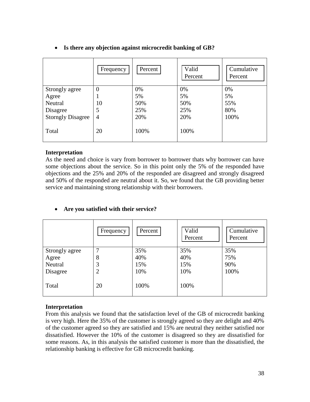|                          | Frequency      | Percent | Valid<br>Percent | Cumulative<br>Percent |
|--------------------------|----------------|---------|------------------|-----------------------|
| Strongly agree           | $\overline{0}$ | 0%      | 0%               | 0%                    |
| Agree                    | ı              | 5%      | 5%               | 5%                    |
| Neutral                  | 10             | 50%     | 50%              | 55%                   |
| Disagree                 | 5              | 25%     | 25%              | 80%                   |
| <b>Storngly Disagree</b> | $\overline{4}$ | 20%     | 20%              | 100%                  |
| Total                    | 20             | 100%    | 100%             |                       |

#### • **Is there any objection against microcredit banking of GB?**

#### **Interpretation**

As the need and choice is vary from borrower to borrower thats why borrower can have some objections about the service. So in this point only the 5% of the responded have objections and the 25% and 20% of the responded are disagreed and strongly disagreed and 50% of the responded are neutral about it. So, we found that the GB providing better service and maintaining strong relationship with their borrowers.

|                | Frequency      | Percent | Valid<br>Percent | Cumulative<br>Percent |
|----------------|----------------|---------|------------------|-----------------------|
| Strongly agree | 7              | 35%     | 35%              | 35%                   |
| Agree          | 8              | 40%     | 40%              | 75%                   |
| Neutral        | 3              | 15%     | 15%              | 90%                   |
| Disagree       | $\overline{2}$ | 10%     | 10%              | 100%                  |
| Total          | 20             | 100%    | 100%             |                       |

#### • **Are you satisfied with their service?**

#### **Interpretation**

From this analysis we found that the satisfaction level of the GB of microcredit banking is very high. Here the 35% of the customer is strongly agreed so they are delight and 40% of the customer agreed so they are satisfied and 15% are neutral they neither satisfied nor dissatisfied. However the 10% of the customer is disagreed so they are dissatisfied for some reasons. As, in this analysis the satisfied customer is more than the dissatisfied, the relationship banking is effective for GB microcredit banking.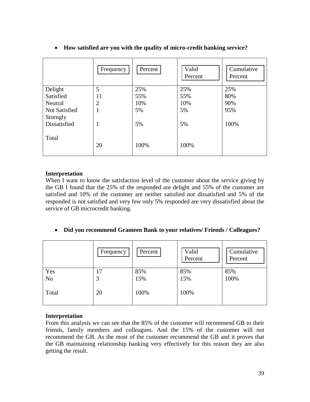|                                  | Frequency      | Percent | Valid<br>Percent | Cumulative<br>Percent |
|----------------------------------|----------------|---------|------------------|-----------------------|
| Delight                          | 5              | 25%     | 25%              | 25%                   |
| Satisfied                        | 11             | 55%     | 55%              | 80%                   |
| Neutral                          | $\overline{2}$ | 10%     | 10%              | 90%                   |
| <b>Not Satisfied</b><br>Storngly | 1              | 5%      | 5%               | 95%                   |
| Dissatisfied                     | 1              | 5%      | 5%               | 100%                  |
| Total                            | 20             | 100%    | 100%             |                       |

#### • **How satisfied are you with the quality of micro-credit banking service?**

#### **Interpretation**

When I want to know the satisfaction level of the customer about the service giving by the GB I found that the 25% of the responded are delight and 55% of the customer are satisfied and 10% of the customer are neither satisfied nor dissatisfied and 5% of the responded is not satisfied and very few only 5% responded are very dissatisfied about the service of GB microcredit banking.

#### • **Did you recommend Grameen Bank to your relatives/ Friends / Colleagues?**

|                | Frequency | Percent | Valid<br>Percent | Cumulative<br>Percent |
|----------------|-----------|---------|------------------|-----------------------|
| Yes            | 17        | 85%     | 85%              | 85%                   |
| N <sub>o</sub> | 3         | 15%     | 15%              | 100%                  |
| Total          | 20        | 100%    | 100%             |                       |

#### **Interpretation**

From this analysis we can see that the 85% of the customer will recommend GB to their friends, family members and colleagues. And the 15% of the customer will not recommend the GB. As the most of the customer recommend the GB and it proves that the GB maintaining relationship banking very effectively for this reason they are also getting the result.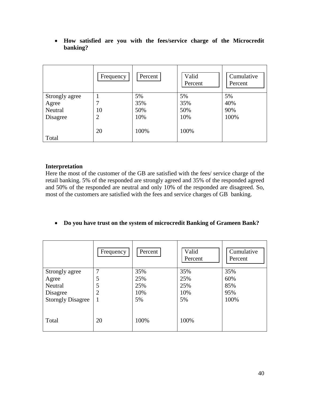• **How satisfied are you with the fees/service charge of the Microcredit banking?**

|                | Frequency      | Percent | Valid<br>Percent | Cumulative<br>Percent |
|----------------|----------------|---------|------------------|-----------------------|
| Strongly agree |                | 5%      | 5%               | 5%                    |
| Agree          | 7              | 35%     | 35%              | 40%                   |
| Neutral        | 10             | 50%     | 50%              | 90%                   |
| Disagree       | $\overline{2}$ | 10%     | 10%              | 100%                  |
| Total          | 20             | 100%    | 100%             |                       |

#### **Interpretation**

Here the most of the customer of the GB are satisfied with the fees/ service charge of the retail banking. 5% of the responded are strongly agreed and 35% of the responded agreed and 50% of the responded are neutral and only 10% of the responded are disagreed. So, most of the customers are satisfied with the fees and service charges of GB banking.

#### • **Do you have trust on the system of microcredit Banking of Grameen Bank?**

|                          | Frequency      | Percent | Valid<br>Percent | Cumulative<br>Percent |
|--------------------------|----------------|---------|------------------|-----------------------|
| Strongly agree           | 7              | 35%     | 35%              | 35%                   |
| Agree                    | 5              | 25%     | 25%              | 60%                   |
| Neutral                  | 5              | 25%     | 25%              | 85%                   |
| Disagree                 | $\overline{2}$ | 10%     | 10%              | 95%                   |
| <b>Storngly Disagree</b> | 1              | 5%      | 5%               | 100%                  |
| Total                    | 20             | 100%    | 100%             |                       |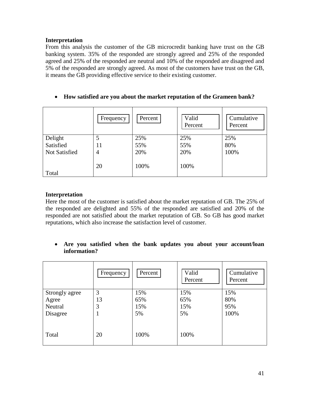From this analysis the customer of the GB microcredit banking have trust on the GB banking system. 35% of the responded are strongly agreed and 25% of the responded agreed and 25% of the responded are neutral and 10% of the responded are disagreed and 5% of the responded are strongly agreed. As most of the customers have trust on the GB, it means the GB providing effective service to their existing customer.

|                      | Frequency      | Percent | Valid<br>Percent | Cumulative<br>Percent |
|----------------------|----------------|---------|------------------|-----------------------|
| Delight              | 5              | 25%     | 25%              | 25%                   |
| Satisfied            | 11             | 55%     | 55%              | 80%                   |
| <b>Not Satisfied</b> | $\overline{4}$ | 20%     | 20%              | 100%                  |
| Total                | 20             | 100%    | 100%             |                       |

#### • **How satisfied are you about the market reputation of the Grameen bank?**

#### **Interpretation**

Here the most of the customer is satisfied about the market reputation of GB. The 25% of the responded are delighted and 55% of the responded are satisfied and 20% of the responded are not satisfied about the market reputation of GB. So GB has good market reputations, which also increase the satisfaction level of customer.

• **Are you satisfied when the bank updates you about your account/loan information?**

|                | Frequency | Percent | Valid<br>Percent | Cumulative<br>Percent |
|----------------|-----------|---------|------------------|-----------------------|
| Strongly agree | 3         | 15%     | 15%              | 15%                   |
| Agree          | 13        | 65%     | 65%              | 80%                   |
| Neutral        | 3         | 15%     | 15%              | 95%                   |
| Disagree       | ı         | 5%      | 5%               | 100%                  |
| Total          | 20        | 100%    | 100%             |                       |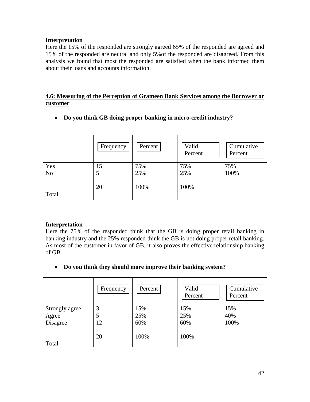Here the 15% of the responded are strongly agreed 65% of the responded are agreed and 15% of the responded are neutral and only 5%of the responded are disagreed. From this analysis we found that most the responded are satisfied when the bank informed them about their loans and accounts information.

#### **4.6: Measuring of the Perception of Grameen Bank Services among the Borrower or customer**

• **Do you think GB doing proper banking in micro-credit industry?** 

|                | Frequency | Percent | Valid<br>Percent | Cumulative<br>Percent |
|----------------|-----------|---------|------------------|-----------------------|
| Yes            | 15        | 75%     | 75%              | 75%                   |
| N <sub>o</sub> | 5         | 25%     | 25%              | 100%                  |
|                | 20        | 100%    | 100%             |                       |
| Total          |           |         |                  |                       |

#### **Interpretation**

Here the 75% of the responded think that the GB is doing proper retail banking in banking industry and the 25% responded think the GB is not doing proper retail banking. As most of the customer in favor of GB, it also proves the effective relationship banking of GB.

• **Do you think they should more improve their banking system?**

|                | Frequency | Percent | Valid<br>Percent | Cumulative<br>Percent |
|----------------|-----------|---------|------------------|-----------------------|
| Strongly agree | 3         | 15%     | 15%              | 15%                   |
| Agree          | 5         | 25%     | 25%              | 40%                   |
| Disagree       | 12        | 60%     | 60%              | 100%                  |
|                | 20        | 100%    | 100%             |                       |
| Total          |           |         |                  |                       |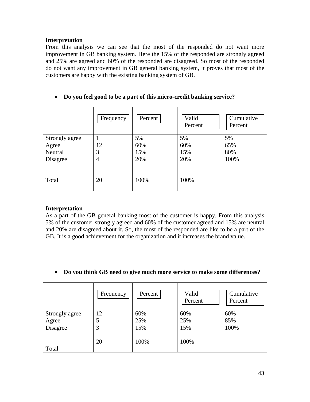From this analysis we can see that the most of the responded do not want more improvement in GB banking system. Here the 15% of the responded are strongly agreed and 25% are agreed and 60% of the responded are disagreed. So most of the responded do not want any improvement in GB general banking system, it proves that most of the customers are happy with the existing banking system of GB.

#### • **Do you feel good to be a part of this micro-credit banking service?**

|                | Frequency      | Percent | Valid<br>Percent | Cumulative<br>Percent |
|----------------|----------------|---------|------------------|-----------------------|
| Strongly agree |                | 5%      | 5%               | 5%                    |
| Agree          | 12             | 60%     | 60%              | 65%                   |
| Neutral        | 3              | 15%     | 15%              | 80%                   |
| Disagree       | $\overline{4}$ | 20%     | 20%              | 100%                  |
| Total          | 20             | 100%    | 100%             |                       |

#### **Interpretation**

As a part of the GB general banking most of the customer is happy. From this analysis 5% of the customer strongly agreed and 60% of the customer agreed and 15% are neutral and 20% are disagreed about it. So, the most of the responded are like to be a part of the GB. It is a good achievement for the organization and it increases the brand value.

#### • **Do you think GB need to give much more service to make some differences?**

|                | Frequency | Percent | Valid<br>Percent | Cumulative<br>Percent |
|----------------|-----------|---------|------------------|-----------------------|
| Strongly agree | 12        | 60%     | 60%              | 60%                   |
| Agree          | 5         | 25%     | 25%              | 85%                   |
| Disagree       | 3         | 15%     | 15%              | 100%                  |
|                | 20        | 100%    | 100%             |                       |
| Total          |           |         |                  |                       |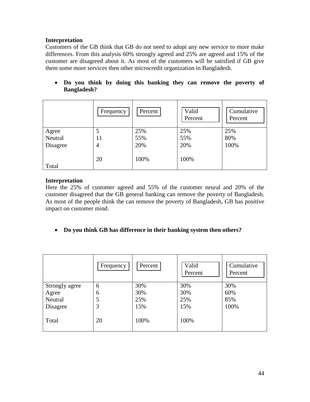Customers of the GB think that GB do not need to adopt any new service to more make differences. From this analysis 60% strongly agreed and 25% are agreed and 15% of the customer are disagreed about it. As most of the customers will be satisfied if GB give them some more services then other microcredit organization in Bangladesh.

• **Do you think by doing this banking they can remove the poverty of Bangladesh?**

|          | Frequency      | Percent | Valid<br>Percent | Cumulative<br>Percent |
|----------|----------------|---------|------------------|-----------------------|
| Agree    | 5              | 25%     | 25%              | 25%                   |
| Neutral  | 11             | 55%     | 55%              | 80%                   |
| Disagree | $\overline{4}$ | 20%     | 20%              | 100%                  |
| Total    | 20             | 100%    | 100%             |                       |

#### **Interpretation**

Here the 25% of customer agreed and 55% of the customer neural and 20% of the customer disagreed that the GB general banking can remove the poverty of Bangladesh. As most of the people think the can remove the poverty of Bangladesh, GB has positive impact on customer mind.

#### • **Do you think GB has difference in their banking system then others?**

|                | Frequency | Percent | Valid<br>Percent | Cumulative<br>Percent |
|----------------|-----------|---------|------------------|-----------------------|
| Strongly agree | 6         | 30%     | 30%              | 30%                   |
| Agree          | 6         | 30%     | 30%              | 60%                   |
| Neutral        | 5         | 25%     | 25%              | 85%                   |
| Disagree       | 3         | 15%     | 15%              | 100%                  |
| Total          | 20        | 100%    | 100%             |                       |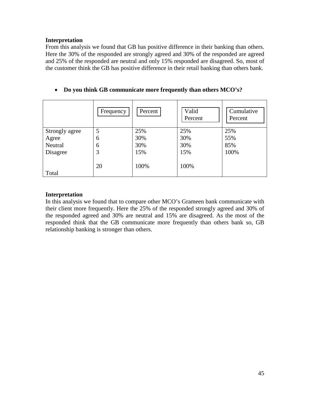From this analysis we found that GB has positive difference in their banking than others. Here the 30% of the responded are strongly agreed and 30% of the responded are agreed and 25% of the responded are neutral and only 15% responded are disagreed. So, most of the customer think the GB has positive difference in their retail banking than others bank.

|  |  | Do you think GB communicate more frequently than others MCO's? |  |  |  |
|--|--|----------------------------------------------------------------|--|--|--|
|--|--|----------------------------------------------------------------|--|--|--|

|                | Frequency | Percent | Valid<br>Percent | Cumulative<br>Percent |
|----------------|-----------|---------|------------------|-----------------------|
| Strongly agree | 5         | 25%     | 25%              | 25%                   |
| Agree          | 6         | 30%     | 30%              | 55%                   |
| Neutral        | 6         | 30%     | 30%              | 85%                   |
| Disagree       | 3         | 15%     | 15%              | 100%                  |
| Total          | 20        | 100%    | 100%             |                       |

#### **Interpretation**

In this analysis we found that to compare other MCO's Grameen bank communicate with their client more frequently. Here the 25% of the responded strongly agreed and 30% of the responded agreed and 30% are neutral and 15% are disagreed. As the most of the responded think that the GB communicate more frequently than others bank so, GB relationship banking is stronger than others.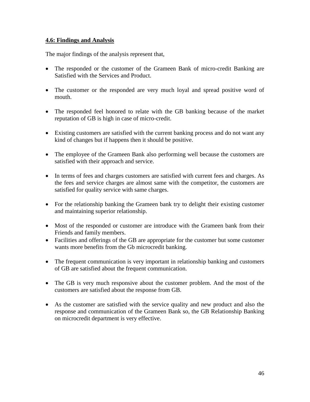#### **4.6: Findings and Analysis**

The major findings of the analysis represent that,

- The responded or the customer of the Grameen Bank of micro-credit Banking are Satisfied with the Services and Product.
- The customer or the responded are very much loyal and spread positive word of mouth.
- The responded feel honored to relate with the GB banking because of the market reputation of GB is high in case of micro-credit.
- Existing customers are satisfied with the current banking process and do not want any kind of changes but if happens then it should be positive.
- The employee of the Grameen Bank also performing well because the customers are satisfied with their approach and service.
- In terms of fees and charges customers are satisfied with current fees and charges. As the fees and service charges are almost same with the competitor, the customers are satisfied for quality service with same charges.
- For the relationship banking the Grameen bank try to delight their existing customer and maintaining superior relationship.
- Most of the responded or customer are introduce with the Grameen bank from their Friends and family members.
- Facilities and offerings of the GB are appropriate for the customer but some customer wants more benefits from the Gb microcredit banking.
- The frequent communication is very important in relationship banking and customers of GB are satisfied about the frequent communication.
- The GB is very much responsive about the customer problem. And the most of the customers are satisfied about the response from GB.
- As the customer are satisfied with the service quality and new product and also the response and communication of the Grameen Bank so, the GB Relationship Banking on microcredit department is very effective.